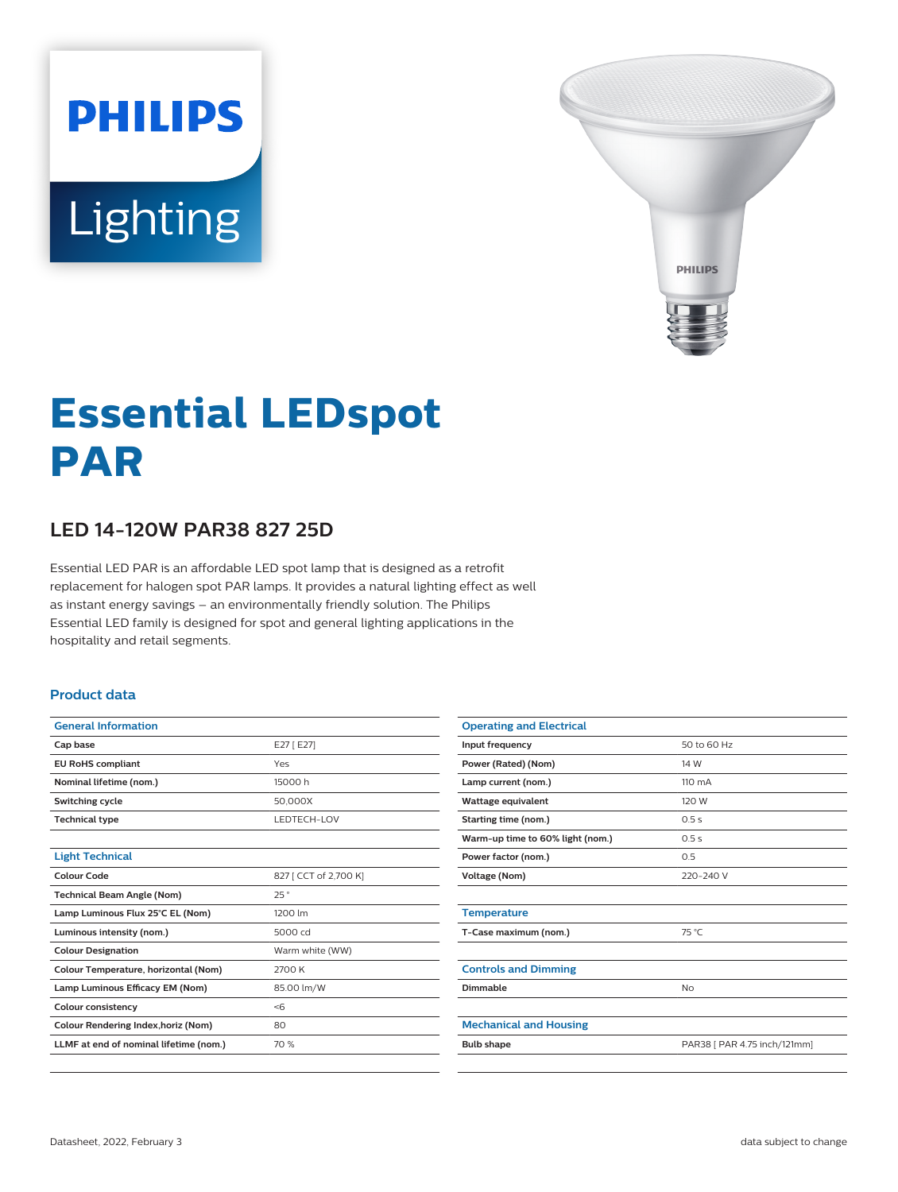# **PHILIPS Lighting**



## **Essential LEDspot PAR**

### **LED 14-120W PAR38 827 25D**

Essential LED PAR is an affordable LED spot lamp that is designed as a retrofit replacement for halogen spot PAR lamps. It provides a natural lighting effect as well as instant energy savings – an environmentally friendly solution. The Philips Essential LED family is designed for spot and general lighting applications in the hospitality and retail segments.

#### **Product data**

| <b>General Information</b>             |                       |  |
|----------------------------------------|-----------------------|--|
| Cap base                               | E27 [E27]             |  |
| <b>EU RoHS compliant</b>               | Yes                   |  |
| Nominal lifetime (nom.)                | 15000 h               |  |
| Switching cycle                        | 50.000X               |  |
| <b>Technical type</b>                  | LEDTECH-LOV           |  |
|                                        |                       |  |
| <b>Light Technical</b>                 |                       |  |
| Colour Code                            | 827 [ CCT of 2,700 K] |  |
| <b>Technical Beam Angle (Nom)</b>      | 25°                   |  |
| Lamp Luminous Flux 25°C EL (Nom)       | 1200 lm               |  |
| Luminous intensity (nom.)              | 5000 cd               |  |
| <b>Colour Designation</b>              | Warm white (WW)       |  |
| Colour Temperature, horizontal (Nom)   | 2700 K                |  |
| Lamp Luminous Efficacy EM (Nom)        | 85.00 lm/W            |  |
| <b>Colour consistency</b>              | < 6                   |  |
| Colour Rendering Index, horiz (Nom)    | 80                    |  |
| LLMF at end of nominal lifetime (nom.) | 70 %                  |  |
|                                        |                       |  |

| <b>Operating and Electrical</b>  |                              |
|----------------------------------|------------------------------|
| Input frequency                  | 50 to 60 Hz                  |
| Power (Rated) (Nom)              | 14 W                         |
| Lamp current (nom.)              | $110 \text{ mA}$             |
| Wattage equivalent               | 120 W                        |
| Starting time (nom.)             | 0.5s                         |
| Warm-up time to 60% light (nom.) | 0.5s                         |
| Power factor (nom.)              | 0.5                          |
| Voltage (Nom)                    | 220-240 V                    |
|                                  |                              |
| <b>Temperature</b>               |                              |
| T-Case maximum (nom.)            | 75 °C                        |
|                                  |                              |
| <b>Controls and Dimming</b>      |                              |
| Dimmable                         | No                           |
|                                  |                              |
| <b>Mechanical and Housing</b>    |                              |
| <b>Bulb shape</b>                | PAR38 [ PAR 4.75 inch/121mm] |
|                                  |                              |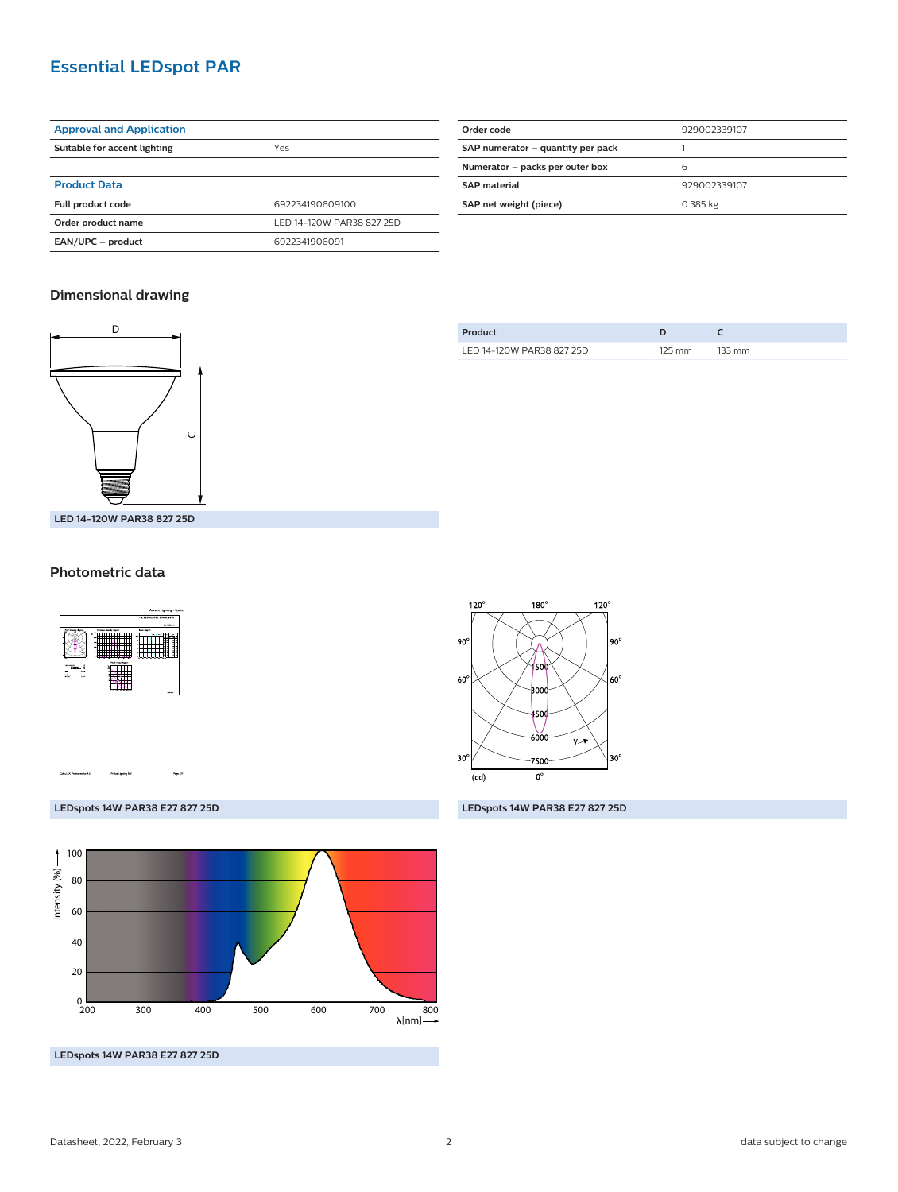#### **Essential LEDspot PAR**

| <b>Approval and Application</b> |                           |  |
|---------------------------------|---------------------------|--|
| Suitable for accent lighting    | Yes                       |  |
|                                 |                           |  |
| <b>Product Data</b>             |                           |  |
| Full product code               | 692234190609100           |  |
| Order product name              | LED 14-120W PAR38 827 25D |  |
| EAN/UPC - product               | 6922341906091             |  |

| Order code                        | 929002339107 |  |
|-----------------------------------|--------------|--|
| SAP numerator - quantity per pack |              |  |
| Numerator - packs per outer box   | 6            |  |
| <b>SAP</b> material               | 929002339107 |  |
| SAP net weight (piece)            | 0.385 kg     |  |
|                                   |              |  |

#### **Dimensional drawing**



| Product                   |        |        |
|---------------------------|--------|--------|
| LED 14-120W PAR38 827 25D | 125 mm | 133 mm |

#### **Photometric data**





**LEDspots 14W PAR38 E27 827 25D LEDspots 14W PAR38 E27 827 25D**